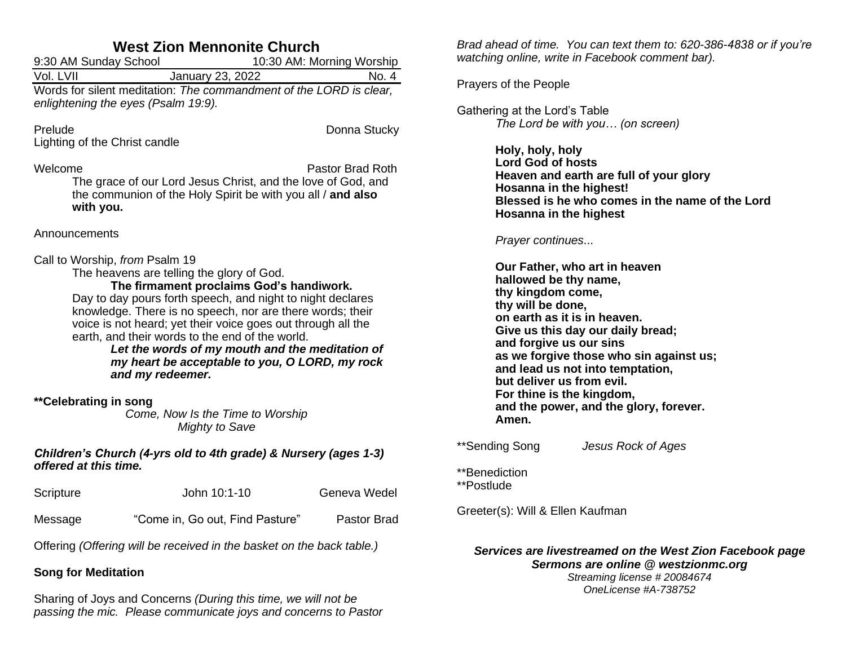# **West Zion Mennonite Church**

| <u>MGSL LIVII MGHININIG VIIULUI</u>                                         |                                                                                                                                                 |  |  |  |
|-----------------------------------------------------------------------------|-------------------------------------------------------------------------------------------------------------------------------------------------|--|--|--|
| 9:30 AM Sunday School                                                       | 10:30 AM: Morning Worship                                                                                                                       |  |  |  |
| Vol. LVII                                                                   | No. 4<br>January 23, 2022                                                                                                                       |  |  |  |
| enlightening the eyes (Psalm 19:9).                                         | Words for silent meditation: The commandment of the LORD is clear,                                                                              |  |  |  |
| Prelude<br>Lighting of the Christ candle                                    | Donna Stucky                                                                                                                                    |  |  |  |
| Welcome<br>with you.                                                        | Pastor Brad Roth<br>The grace of our Lord Jesus Christ, and the love of God, and<br>the communion of the Holy Spirit be with you all / and also |  |  |  |
| Announcements                                                               |                                                                                                                                                 |  |  |  |
| Call to Worship, from Psalm 19<br>The heavens are telling the glory of God. | The firmament proclaims God's handiwork.                                                                                                        |  |  |  |

Day to day pours forth speech, and night to night declares knowledge. There is no speech, nor are there words; their voice is not heard; yet their voice goes out through all the earth, and their words to the end of the world.

*Let the words of my mouth and the meditation of my heart be acceptable to you, O LORD, my rock and my redeemer.*

### **\*\*Celebrating in song**

*Come, Now Is the Time to Worship Mighty to Save*

### *Children's Church (4-yrs old to 4th grade) & Nursery (ages 1-3) offered at this time.*

| Scripture | John 10:1-10                    | Geneva Wedel       |
|-----------|---------------------------------|--------------------|
| Message   | "Come in, Go out, Find Pasture" | <b>Pastor Brad</b> |

Offering *(Offering will be received in the basket on the back table.)*

# **Song for Meditation**

Sharing of Joys and Concerns *(During this time, we will not be passing the mic. Please communicate joys and concerns to Pastor* 

*Brad ahead of time. You can text them to: 620-386-4838 or if you're watching online, write in Facebook comment bar).*

Prayers of the People

Gathering at the Lord's Table *The Lord be with you… (on screen)*

> **Holy, holy, holy Lord God of hosts Heaven and earth are full of your glory Hosanna in the highest! Blessed is he who comes in the name of the Lord Hosanna in the highest**

### *Prayer continues*...

**Our Father, who art in heaven hallowed be thy name, thy kingdom come, thy will be done, on earth as it is in heaven. Give us this day our daily bread; and forgive us our sins as we forgive those who sin against us; and lead us not into temptation, but deliver us from evil. For thine is the kingdom, and the power, and the glory, forever. Amen.**

\*\*Sending Song *Jesus Rock of Ages*

\*\*Benediction \*\*Postlude

Greeter(s): Will & Ellen Kaufman

# *Services are livestreamed on the West Zion Facebook page Sermons are online @ westzionmc.org*

*Streaming license # 20084674 OneLicense #A-738752*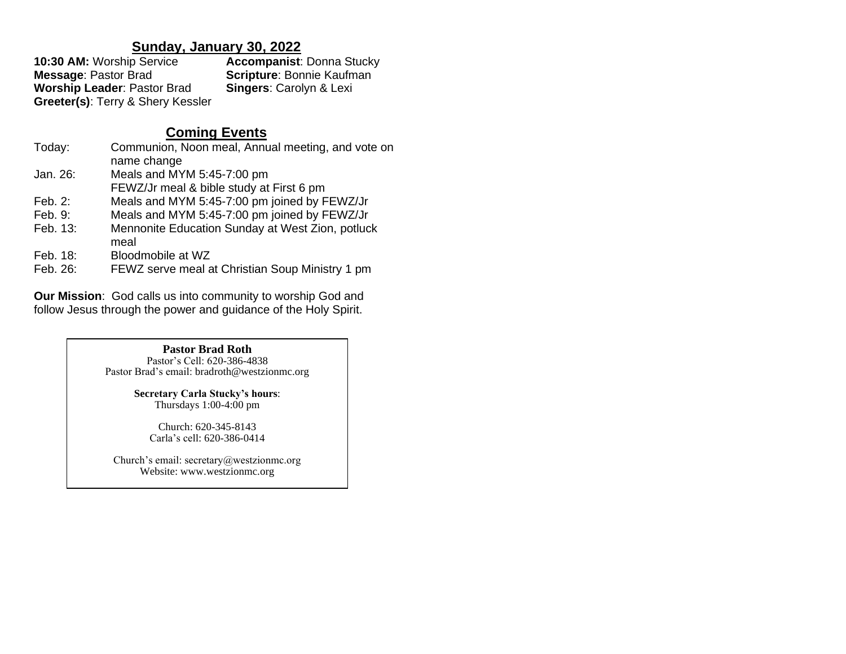# **Sunday, January 30, 2022**

| 10:30 AM: Worship Service          | <b>Accompanist: Donna Stucky</b>   |
|------------------------------------|------------------------------------|
| <b>Message: Pastor Brad</b>        | <b>Scripture: Bonnie Kaufman</b>   |
| <b>Worship Leader: Pastor Brad</b> | <b>Singers: Carolyn &amp; Lexi</b> |
| Greeter(s): Terry & Shery Kessler  |                                    |

# **Coming Events**

| Today:    | Communion, Noon meal, Annual meeting, and vote on        |
|-----------|----------------------------------------------------------|
|           | name change                                              |
| Jan. 26:  | Meals and MYM 5:45-7:00 pm                               |
|           | FEWZ/Jr meal & bible study at First 6 pm                 |
| Feb. $2:$ | Meals and MYM 5:45-7:00 pm joined by FEWZ/Jr             |
| Feb. 9:   | Meals and MYM 5:45-7:00 pm joined by FEWZ/Jr             |
| Feb. 13:  | Mennonite Education Sunday at West Zion, potluck<br>meal |
| Feb. 18:  | Bloodmobile at WZ                                        |
| Feb. 26:  | FEWZ serve meal at Christian Soup Ministry 1 pm          |

**Our Mission**: God calls us into community to worship God and follow Jesus through the power and guidance of the Holy Spirit.

#### **Pastor Brad Roth** Pastor's Cell: 620-386-4838

Pastor Brad's email: bradroth@westzionmc.org

**Secretary Carla Stucky's hours**: Thursdays 1:00-4:00 pm

Church: 620-345-8143 Carla's cell: 620-386-0414

Church's email: secretary@westzionmc.org Website: www.westzionmc.org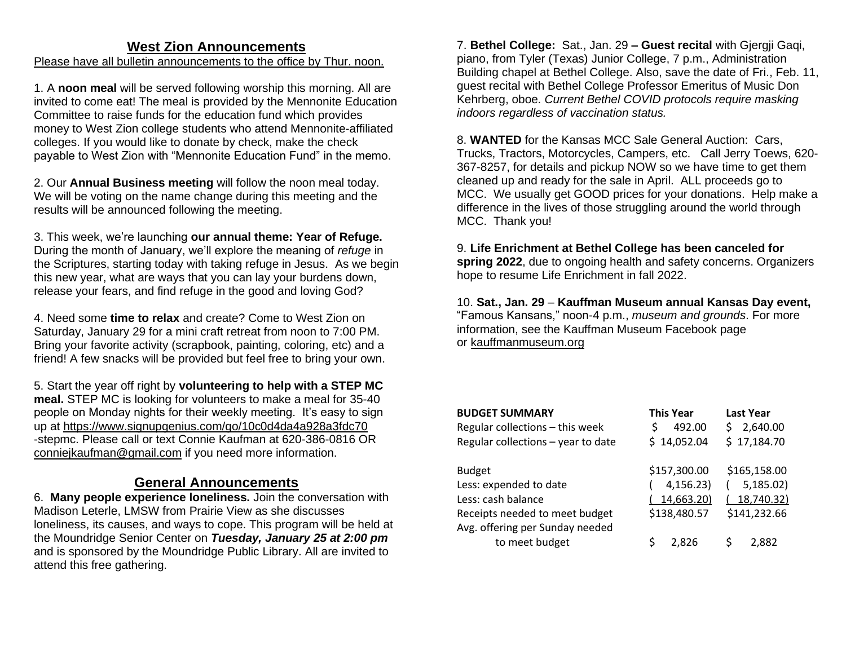# **West Zion Announcements**

Please have all bulletin announcements to the office by Thur. noon.

1. A **noon meal** will be served following worship this morning. All are invited to come eat! The meal is provided by the Mennonite Education Committee to raise funds for the education fund which provides money to West Zion college students who attend Mennonite-affiliated colleges. If you would like to donate by check, make the check payable to West Zion with "Mennonite Education Fund" in the memo.

2. Our **Annual Business meeting** will follow the noon meal today. We will be voting on the name change during this meeting and the results will be announced following the meeting.

3. This week, we're launching **our annual theme: Year of Refuge.**  During the month of January, we'll explore the meaning of *refuge* in the Scriptures, starting today with taking refuge in Jesus. As we begin this new year, what are ways that you can lay your burdens down, release your fears, and find refuge in the good and loving God?

4. Need some **time to relax** and create? Come to West Zion on Saturday, January 29 for a mini craft retreat from noon to 7:00 PM. Bring your favorite activity (scrapbook, painting, coloring, etc) and a friend! A few snacks will be provided but feel free to bring your own.

5. Start the year off right by **volunteering to help with a STEP MC meal.** STEP MC is looking for volunteers to make a meal for 35-40 people on Monday nights for their weekly meeting. It's easy to sign up at<https://www.signupgenius.com/go/10c0d4da4a928a3fdc70> -stepmc. Please call or text Connie Kaufman at 620-386-0816 OR [conniejkaufman@gmail.com](mailto:conniejkaufman@gmail.com) if you need more information.

## **General Announcements**

6. **Many people experience loneliness.** Join the conversation with Madison Leterle, LMSW from Prairie View as she discusses loneliness, its causes, and ways to cope. This program will be held at the Moundridge Senior Center on *Tuesday, January 25 at 2:00 pm* and is sponsored by the Moundridge Public Library. All are invited to attend this free gathering.

7. **Bethel College:** Sat., Jan. 29 **– Guest recital** with Gjergji Gaqi, piano, from Tyler (Texas) Junior College, 7 p.m., Administration Building chapel at Bethel College. Also, save the date of Fri., Feb. 11, guest recital with Bethel College Professor Emeritus of Music Don Kehrberg, oboe. *Current Bethel COVID protocols require masking indoors regardless of vaccination status.*

8. **WANTED** for the Kansas MCC Sale General Auction: Cars, Trucks, Tractors, Motorcycles, Campers, etc. Call Jerry Toews, 620- 367-8257, for details and pickup NOW so we have time to get them cleaned up and ready for the sale in April. ALL proceeds go to MCC. We usually get GOOD prices for your donations. Help make a difference in the lives of those struggling around the world through MCC. Thank you!

9. **Life Enrichment at Bethel College has been canceled for spring 2022**, due to ongoing health and safety concerns. Organizers hope to resume Life Enrichment in fall 2022.

10. **Sat., Jan. 29** – **Kauffman Museum annual Kansas Day event,**  "Famous Kansans," noon-4 p.m., *museum and grounds*. For more information, see the Kauffman Museum Facebook page or [kauffmanmuseum.org](http://kauffmanmuseum.org/)

| <b>BUDGET SUMMARY</b>              | <b>This Year</b> | <b>Last Year</b> |
|------------------------------------|------------------|------------------|
| Regular collections - this week    | 492.00<br>Ś      | 2,640.00<br>S    |
| Regular collections - year to date | \$14,052.04      | \$17,184.70      |
|                                    |                  |                  |
| <b>Budget</b>                      | \$157,300.00     | \$165,158.00     |
| Less: expended to date             | 4,156.23)        | 5,185.02         |
| Less: cash balance                 | 14,663.20)       | 18,740.32        |
| Receipts needed to meet budget     | \$138,480.57     | \$141,232.66     |
| Avg. offering per Sunday needed    |                  |                  |
| to meet budget                     | 2.826            | 2.882            |
|                                    |                  |                  |